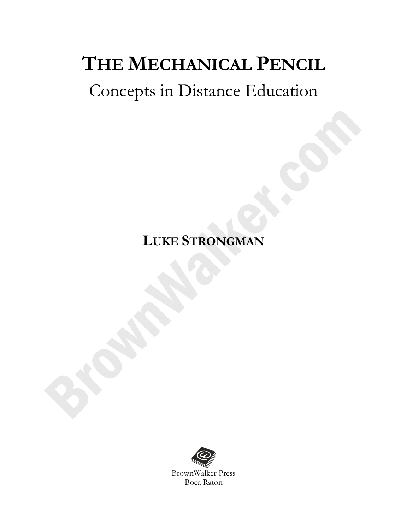# **THE MECHANICAL PENCIL** Concepts in Distance Education

**LUKE STRONGMAN**



BrownWalker Press Boca Raton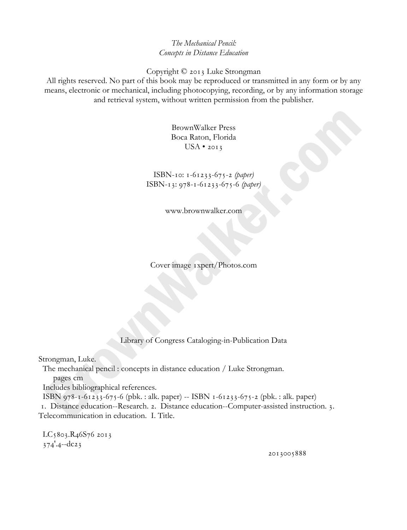# *The Mechanical Pencil: Concepts in Distance Education*

Copyright © 2013 Luke Strongman

All rights reserved. No part of this book may be reproduced or transmitted in any form or by any means, electronic or mechanical, including photocopying, recording, or by any information storage and retrieval system, without written permission from the publisher.

> BrownWalker Press Boca Raton, Florida  $USA \cdot 2013$

ISBN-10: 1-61233-675-2 (paper) ISBN-13: 978-1-61233-675-6 (paper)

www.brownwalker.com

Cover image xpert/Photos.com

Library of Congress Cataloging-in-Publication Data

Strongman, Luke. The mechanical pencil : concepts in distance education / Luke Strongman. pages cm Includes bibliographical references. ISBN  $978-1-61233-675-6$  (pbk.: alk. paper) -- ISBN  $1-61233-675-2$  (pbk.: alk. paper) 1. Distance education--Research. 2. Distance education--Computer-assisted instruction. 3. Telecommunication in education. I. Title.

 $LC$ 5803.R46S762013  $374'.4 - dc23$ 

2013005888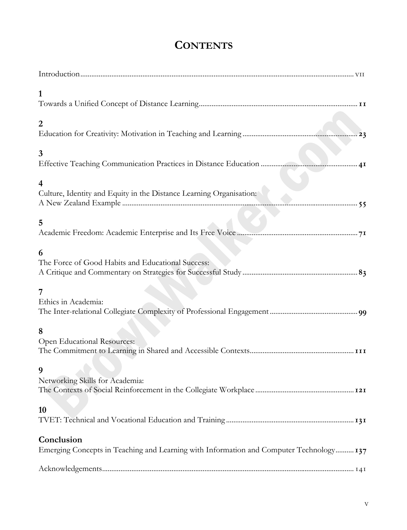# **CONTENTS**

| 1                                                                                                     |
|-------------------------------------------------------------------------------------------------------|
| 2                                                                                                     |
| $\overline{\mathbf{3}}$                                                                               |
| 4<br>Culture, Identity and Equity in the Distance Learning Organisation:                              |
| 5                                                                                                     |
| 6<br>The Force of Good Habits and Educational Success:                                                |
| 7<br>Ethics in Academia:                                                                              |
| 8<br>Open Educational Resources:                                                                      |
| 9<br>Networking Skills for Academia:                                                                  |
| 10                                                                                                    |
| Conclusion<br>Emerging Concepts in Teaching and Learning with Information and Computer Technology 137 |
|                                                                                                       |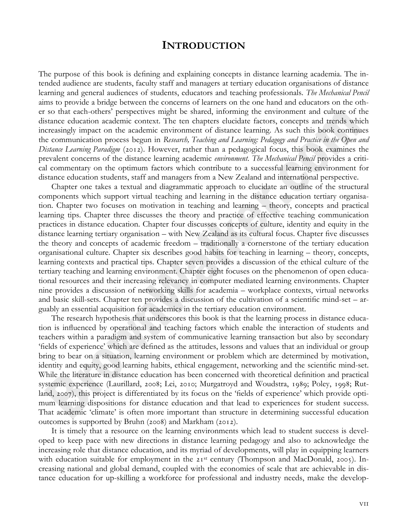# **INTRODUCTION**

The purpose of this book is defining and explaining concepts in distance learning academia. The intended audience are students, faculty staff and managers at tertiary education organisations of distance learning and general audiences of students, educators and teaching professionals. *The Mechanical Pencil*  aims to provide a bridge between the concerns of learners on the one hand and educators on the other so that each-others' perspectives might be shared, informing the environment and culture of the distance education academic context. The ten chapters elucidate factors, concepts and trends which increasingly impact on the academic environment of distance learning. As such this book continues the communication process begun in *Research, Teaching and Learning: Pedagogy and Practice in the Open and Distance Learning Paradigm* (2012). However, rather than a pedagogical focus, this book examines the prevalent concerns of the distance learning academic *environment*. *The Mechanical Pencil* provides a critical commentary on the optimum factors which contribute to a successful learning environment for distance education students, staff and managers from a New Zealand and international perspective.

Chapter one takes a textual and diagrammatic approach to elucidate an outline of the structural components which support virtual teaching and learning in the distance education tertiary organisation. Chapter two focuses on motivation in teaching and learning – theory, concepts and practical learning tips. Chapter three discusses the theory and practice of effective teaching communication practices in distance education. Chapter four discusses concepts of culture, identity and equity in the distance learning tertiary organisation – with New Zealand as its cultural focus. Chapter five discusses the theory and concepts of academic freedom – traditionally a cornerstone of the tertiary education organisational culture. Chapter six describes good habits for teaching in learning – theory, concepts, learning contexts and practical tips. Chapter seven provides a discussion of the ethical culture of the tertiary teaching and learning environment. Chapter eight focuses on the phenomenon of open educational resources and their increasing relevancy in computer mediated learning environments. Chapter nine provides a discussion of networking skills for academia – workplace contexts, virtual networks and basic skill-sets. Chapter ten provides a discussion of the cultivation of a scientific mind-set – arguably an essential acquisition for academics in the tertiary education environment.

The research hypothesis that underscores this book is that the learning process in distance education is influenced by operational and teaching factors which enable the interaction of students and teachers within a paradigm and system of communicative learning transaction but also by secondary 'fields of experience' which are defined as the attitudes, lessons and values that an individual or group bring to bear on a situation, learning environment or problem which are determined by motivation, identity and equity, good learning habits, ethical engagement, networking and the scientific mind-set. While the literature in distance education has been concerned with theoretical definition and practical systemic experience (Laurillard, 2008; Lei, 2010; Murgatroyd and Woudstra, 1989; Poley, 1998; Rutland, 2007), this project is differentiated by its focus on the 'fields of experience' which provide optimum learning dispositions for distance education and that lead to experiences for student success. That academic 'climate' is often more important than structure in determining successful education outcomes is supported by Bruhn (2008) and Markham (2012).

It is timely that a resource on the learning environments which lead to student success is developed to keep pace with new directions in distance learning pedagogy and also to acknowledge the increasing role that distance education, and its myriad of developments, will play in equipping learners with education suitable for employment in the  $21^{st}$  century (Thompson and MacDonald,  $2005$ ). Increasing national and global demand, coupled with the economies of scale that are achievable in distance education for up-skilling a workforce for professional and industry needs, make the develop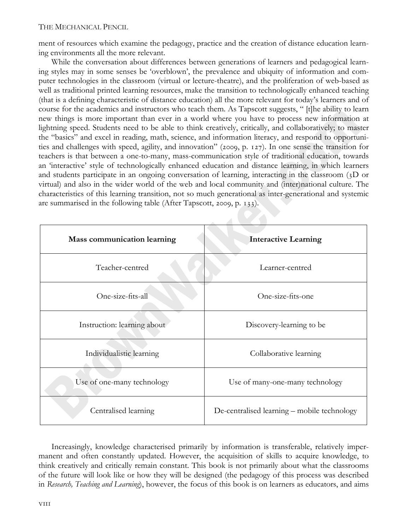ment of resources which examine the pedagogy, practice and the creation of distance education learning environments all the more relevant.

While the conversation about differences between generations of learners and pedagogical learning styles may in some senses be 'overblown', the prevalence and ubiquity of information and computer technologies in the classroom (virtual or lecture-theatre), and the proliferation of web-based as well as traditional printed learning resources, make the transition to technologically enhanced teaching (that is a defining characteristic of distance education) all the more relevant for today's learners and of course for the academics and instructors who teach them. As Tapscott suggests, " [t]he ability to learn new things is more important than ever in a world where you have to process new information at lightning speed. Students need to be able to think creatively, critically, and collaboratively; to master the "basics" and excel in reading, math, science, and information literacy, and respond to opportunities and challenges with speed, agility, and innovation" (2009, p. 127). In one sense the transition for teachers is that between a one-to-many, mass-communication style of traditional education, towards an 'interactive' style of technologically enhanced education and distance learning, in which learners and students participate in an ongoing conversation of learning, interacting in the classroom  $(3D \text{ or } )$ virtual) and also in the wider world of the web and local community and (inter)national culture. The characteristics of this learning transition, not so much generational as inter-generational and systemic are summarised in the following table (After Tapscott, 2009, p.  $133$ ).

| <b>Mass communication learning</b> | <b>Interactive Learning</b>                 |  |
|------------------------------------|---------------------------------------------|--|
| Teacher-centred                    | Learner-centred                             |  |
| One-size-fits-all                  | One-size-fits-one                           |  |
| Instruction: learning about        | Discovery-learning to be                    |  |
| Individualistic learning           | Collaborative learning                      |  |
| Use of one-many technology         | Use of many-one-many technology             |  |
| Centralised learning               | De-centralised learning - mobile technology |  |

Increasingly, knowledge characterised primarily by information is transferable, relatively impermanent and often constantly updated. However, the acquisition of skills to acquire knowledge, to think creatively and critically remain constant. This book is not primarily about what the classrooms of the future will look like or how they will be designed (the pedagogy of this process was described in *Research, Teaching and Learning*), however, the focus of this book is on learners as educators, and aims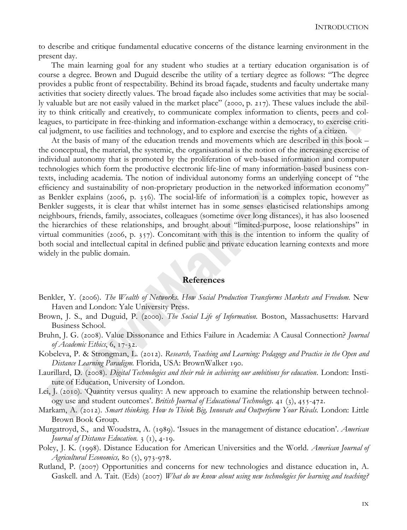to describe and critique fundamental educative concerns of the distance learning environment in the present day.

The main learning goal for any student who studies at a tertiary education organisation is of course a degree. Brown and Duguid describe the utility of a tertiary degree as follows: "The degree provides a public front of respectability. Behind its broad façade, students and faculty undertake many activities that society directly values. The broad façade also includes some activities that may be socially valuable but are not easily valued in the market place" ( $2000$ , p.  $217$ ). These values include the ability to think critically and creatively, to communicate complex information to clients, peers and colleagues, to participate in free-thinking and information-exchange within a democracy, to exercise critical judgment, to use facilities and technology, and to explore and exercise the rights of a citizen.

At the basis of many of the education trends and movements which are described in this book – the conceptual, the material, the systemic, the organisational is the notion of the increasing exercise of individual autonomy that is promoted by the proliferation of web-based information and computer technologies which form the productive electronic life-line of many information-based business contexts, including academia. The notion of individual autonomy forms an underlying concept of "the efficiency and sustainability of non-proprietary production in the networked information economy" as Benkler explains (2006, p.  $356$ ). The social-life of information is a complex topic, however as Benkler suggests, it is clear that whilst internet has in some senses elasticised relationships among neighbours, friends, family, associates, colleagues (sometime over long distances), it has also loosened the hierarchies of these relationships, and brought about "limited-purpose, loose relationships" in virtual communities (2006, p.  $357$ ). Concomitant with this is the intention to inform the quality of both social and intellectual capital in defined public and private education learning contexts and more widely in the public domain.

#### **References**

- Benkler, Y. (2006). The Wealth of Networks. How Social Production Transforms Markets and Freedom. New Haven and London: Yale University Press.
- Brown, J. S., and Duguid, P. (2000). The Social Life of Information. Boston, Massachusetts: Harvard Business School.
- Bruhn, J. G. (2008). Value Dissonance and Ethics Failure in Academia: A Causal Connection? *Journal of Academic Ethics*, 6, 17-32.
- Kobeleva, P. & Strongman, L. (2012). Research, Teaching and Learning: Pedagogy and Practice in the Open and *Distance Learning Paradigm.* Florida, USA: BrownWalker 190.
- Laurillard, D. (2008). *Digital Technologies and their role in achieving our ambitions for education*. London: Institute of Education, University of London.
- Lei, J. (2010). 'Quantity versus quality: A new approach to examine the relationship between technology use and student outcomes'. *British Journal of Educational Technology*. 41 (3), 455-472.
- Markam, A. (2012). *Smart thinking. How to Think Big, Innovate and Outperform Your Rivals.* London: Little Brown Book Group.
- Murgatroyd, S., and Woudstra, A. (1989). 'Issues in the management of distance education'. *American Journal of Distance Education.*  $\mathfrak{z}$  (1), 4-19.
- Poley, J. K. (1998). Distance Education for American Universities and the World. *American Journal of Agricultural Economics*, 80 (5), 973-978.
- Rutland, P. (2007) Opportunities and concerns for new technologies and distance education in, A. Gaskell. and A. Tait. (Eds) (2007) *What do we know about using new technologies for learning and teaching?*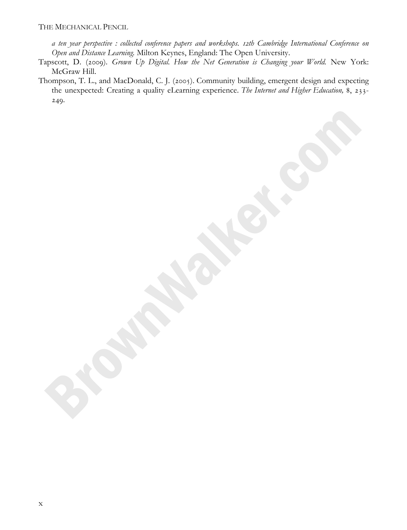*a ten year perspective : collected conference papers and workshops. th Cambridge International Conference on Open and Distance Learning.* Milton Keynes, England: The Open University.

- Tapscott, D. (2009). *Grown Up Digital. How the Net Generation is Changing your World.* New York: McGraw Hill.
- Thompson, T. L., and MacDonald, C. J. (2005). Community building, emergent design and expecting the unexpected: Creating a quality eLearning experience. The Internet and Higher Education, 8, 233-249.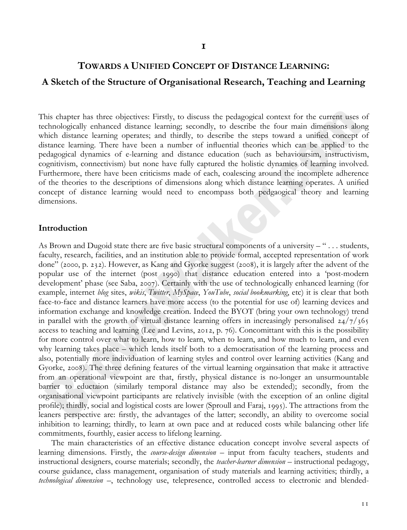# **TOWARDS A UNIFIED CONCEPT OF DISTANCE LEARNING: A Sketch of the Structure of Organisational Research, Teaching and Learning**

This chapter has three objectives: Firstly, to discuss the pedagogical context for the current uses of technologically enhanced distance learning; secondly, to describe the four main dimensions along which distance learning operates; and thirdly, to describe the steps toward a unified concept of distance learning. There have been a number of influential theories which can be applied to the pedagogical dynamics of e-learning and distance education (such as behavioursim, instructivism, cognitivism, connectivism) but none have fully captured the holistic dynamics of learning involved. Furthermore, there have been criticisms made of each, coalescing around the incomplete adherence of the theories to the descriptions of dimensions along which distance learning operates. A unified concept of distance learning would need to encompass both pedgaogical theory and learning dimensions.

## **Introduction**

As Brown and Dugoid state there are five basic structural components of a university – " . . . students, faculty, research, facilities, and an institution able to provide formal, accepted representation of work done" (2000, p. 232). However, as Kang and Gyorke suggest (2008), it is largely after the advent of the popular use of the internet (post 1990) that distance education entered into a 'post-modern development' phase (see Saba, 2007). Certainly with the use of technologically enhanced learning (for example, internet *blog* sites, *wikis*, *Twitter*, *MySpace*, *YouTube*, *social bookmarking*, etc) it is clear that both face-to-face and distance learners have more access (to the potential for use of) learning devices and information exchange and knowledge creation. Indeed the BYOT (bring your own technology) trend in parallel with the growth of virtual distance learning offers in increasingly personalised  $24/7/365$ access to teaching and learning (Lee and Levins,  $2012$ , p. 76). Concomittant with this is the possibility for more control over what to learn, how to learn, when to learn, and how much to learn, and even why learning takes place – which lends itself both to a democratisation of the learning process and also, potentially more individuation of learning styles and control over learning activities (Kang and Gyorke, 2008). The three defining features of the virtual learning orgainsation that make it attractive from an operational viewpoint are that, firstly, physical distance is no-longer an unsurmountable barrier to eductaion (similarly temporal distance may also be extended); secondly, from the organisational viewpoint participants are relatively invisible (with the exception of an online digital profile); thirdly, social and logistical costs are lower (Sproull and Faraj, 1995). The attractions from the leaners perspective are: firstly, the advantages of the latter; secondly, an ability to overcome social inhibition to learning; thirdly, to learn at own pace and at reduced costs while balancing other life commitments, fourthly, easier access to lifelong learning.

The main characteristics of an effective distance education concept involve several aspects of learning dimensions. Firstly, the *course-design dimension* – input from faculty teachers, students and instructional designers, course materials; secondly, the *teacher-learner dimension* – instructional pedagogy, course guidance, class management, organisation of study materials and learning activities; thirdly, a *technological dimension* –, technology use, telepresence, controlled access to electronic and blended-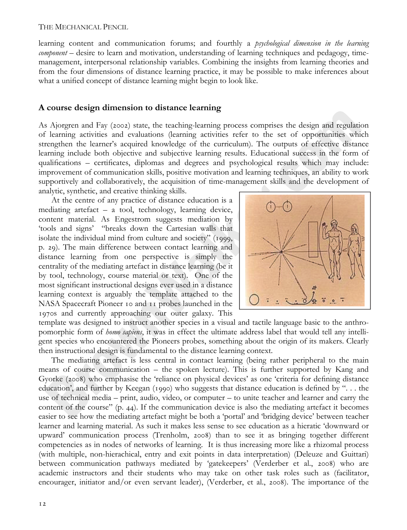learning content and communication forums; and fourthly a *psychological dimension in the learning component* – desire to learn and motivation, understanding of learning techniques and pedagogy, timemanagement, interpersonal relationship variables. Combining the insights from learning theories and from the four dimensions of distance learning practice, it may be possible to make inferences about what a unified concept of distance learning might begin to look like.

### **A course design dimension to distance learning**

As Ajorgren and Fay (2002) state, the teaching-learning process comprises the design and regulation of learning activities and evaluations (learning activities refer to the set of opportunities which strengthen the learner's acquired knowledge of the curriculum). The outputs of effective distance learning include both objective and subjective learning results. Educational success in the form of qualifications – certificates, diplomas and degrees and psychological results which may include: improvement of communication skills, positive motivation and learning techniques, an ability to work supportively and collaboratively, the acquisition of time-management skills and the development of analytic, synthetic, and creative thinking skills.

At the centre of any practice of distance education is a mediating artefact – a tool, technology, learning device, content material. As Engestrom suggests mediation by 'tools and signs' "breaks down the Cartesian walls that isolate the individual mind from culture and society"  $(1999, 100)$ p. 29). The main difference between contact learning and distance learning from one perspective is simply the centrality of the mediating artefact in distance learning (be it by tool, technology, course material or text). One of the most significant instructional designs ever used in a distance learning context is arguably the template attached to the NASA Spacecraft Pioneer 10 and 11 probes launched in the 1970s and currently approaching our outer galaxy. This



template was designed to instruct another species in a visual and tactile language basic to the anthropomorphic form of *homo sapiens*, it was in effect the ultimate address label that would tell any intelligent species who encountered the Pioneers probes, something about the origin of its makers. Clearly then instructional design is fundamental to the distance learning context.

The mediating artefact is less central in contact learning (being rather peripheral to the main means of course communication – the spoken lecture). This is further supported by Kang and Gyorke (2008) who emphasise the 'reliance on physical devices' as one 'criteria for defining distance education', and further by Keegan (1990) who suggests that distance education is defined by " $\dots$  the use of technical media – print, audio, video, or computer – to unite teacher and learner and carry the content of the course"  $(p. 44)$ . If the communication device is also the mediating artefact it becomes easier to see how the mediating artefact might be both a 'portal' and 'bridging device' between teacher learner and learning material. As such it makes less sense to see education as a hieratic 'downward or upward' communication process (Trenholm, 2008) than to see it as bringing together different competencies as in nodes of networks of learning. It is thus increasing more like a rhizomal process (with multiple, non-hierachical, entry and exit points in data interpretation) (Deleuze and Guittari) between communication pathways mediated by 'gatekeepers' (Verderber et al., 2008) who are academic instructors and their students who may take on other task roles such as (facilitator, encourager, initiator and/or even servant leader), (Verderber, et al.,  $2008$ ). The importance of the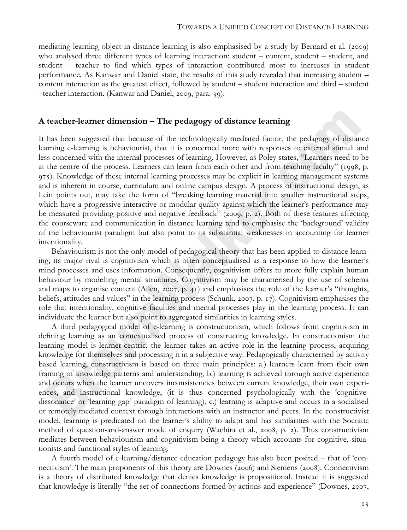mediating learning object in distance learning is also emphasised by a study by Bernard et al. (2009) who analysed three different types of learning interaction: student – content, student – student, and student – teacher to find which types of interaction contributed most to increases in student performance. As Kanwar and Daniel state, the results of this study revealed that increasing student – content interaction as the greatest effect, followed by student – student interaction and third – student  $-$ teacher interaction. (Kanwar and Daniel, 2009, para. 39).

### **A teacher-learner dimension – The pedagogy of distance learning**

It has been suggested that because of the technologically mediated factor, the pedagogy of distance learning e-learning is behaviourist, that it is concerned more with responses to external stimuli and less concerned with the internal processes of learning. However, as Poley states, "Learners need to be at the centre of the process. Learners can learn from each other and from teaching faculty"  $(1998, p.$  $(975)$ . Knowledge of these internal learning processes may be explicit in learning management systems and is inherent in course, curriculum and online campus design. A process of instructional design, as Lein points out, may take the form of "breaking learning material into smaller instructional steps, which have a progressive interactive or modular quality against which the learner's performance may be measured providing positive and negative feedback" ( $2009$ , p. 2). Both of these features affecting the courseware and communication in distance learning tend to emphasise the 'background' validity of the behaviourist paradigm but also point to its substantial weaknesses in accounting for learner intentionality.

Behaviourism is not the only model of pedagogical theory that has been applied to distance learning; its major rival is cognitivism which is often conceptualised as a response to how the learner's mind processes and uses information. Consequently, cognitivism offers to more fully explain human behaviour by modelling mental structures. Cognitivism may be characterised by the use of schema and maps to organise content (Allen, 2007, p. 41) and emphasises the role of the learner's "thoughts, beliefs, attitudes and values" in the learning process (Schunk,  $2007$ , p.  $17$ ). Cognitivism emphasises the role that intentionality, cognitive faculties and mental processes play in the learning process. It can individuate the learner but also point to aggregated similarities in learning styles.

A third pedagogical model of e-learning is constructionism, which follows from cognitivism in defining learning as an contextualised process of constructing knowledge. In constructionism the learning model is learner-centric, the learner takes an active role in the learning process, acquiring knowledge for themselves and processing it in a subjective way. Pedagogically characterised by activity based learning, constructivism is based on three main principles: a.) learners learn from their own framing of knowledge patterns and understanding, b.) learning is achieved through active experience and occurs when the learner uncovers inconsistencies between current knowledge, their own experiences, and instructional knowledge, (it is thus concerned psychologically with the 'cognitivedissonance' or 'learning gap' paradigm of learning), c.) learning is adaptive and occurs in a socialised or remotely mediated context through interactions with an instructor and peers. In the constructivist model, learning is predicated on the learner's ability to adapt and has similarities with the Socratic method of question-and-answer mode of enquiry (Wachira et al.,  $2008$ , p. 2). Thus constructivism mediates between behaviourism and cognitivism being a theory which accounts for cognitive, situationists and functional styles of learning.

A fourth model of e-learning/distance education pedagogy has also been posited – that of 'connectivism'. The main proponents of this theory are Downes (2006) and Siemens (2008). Connectivism is a theory of distributed knowledge that denies knowledge is propositional. Instead it is suggested that knowledge is literally "the set of connections formed by actions and experience" (Downes, 2007,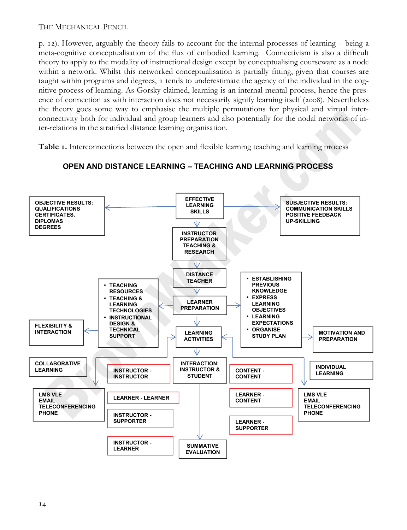p. ). However, arguably the theory fails to account for the internal processes of learning – being a meta-cognitive conceptualisation of the flux of embodied learning. Connectivism is also a difficult theory to apply to the modality of instructional design except by conceptualising courseware as a node within a network. Whilst this networked conceptualisation is partially fitting, given that courses are taught within programs and degrees, it tends to underestimate the agency of the individual in the cognitive process of learning. As Gorsky claimed, learning is an internal mental process, hence the presence of connection as with interaction does not necessarily signify learning itself (2008). Nevertheless the theory goes some way to emphasise the multiple permutations for physical and virtual interconnectivity both for individual and group learners and also potentially for the nodal networks of inter-relations in the stratified distance learning organisation.

**Table .** Interconnections between the open and flexible learning teaching and learning process



# **OPEN AND DISTANCE LEARNING – TEACHING AND LEARNING PROCESS**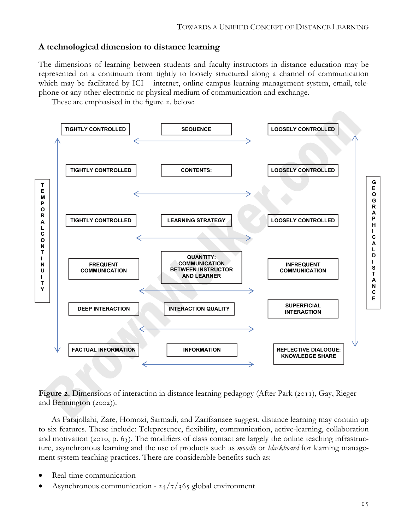# **A technological dimension to distance learning**

The dimensions of learning between students and faculty instructors in distance education may be represented on a continuum from tightly to loosely structured along a channel of communication which may be facilitated by ICI – internet, online campus learning management system, email, telephone or any other electronic or physical medium of communication and exchange.

These are emphasised in the figure 2. below:



**Figure 2.** Dimensions of interaction in distance learning pedagogy (After Park (2011), Gay, Rieger and Bennington  $(2002)$ ).

As Farajollahi, Zare, Homozi, Sarmadi, and Zarifsanaee suggest, distance learning may contain up to six features. These include: Telepresence, flexibility, communication, active-learning, collaboration and motivation ( $2010$ , p.  $65$ ). The modifiers of class contact are largely the online teaching infrastructure, asynchronous learning and the use of products such as *moodle* or *blackboard* for learning management system teaching practices. There are considerable benefits such as:

- Real-time communication
- Asynchronous communication  $24/7/365$  global environment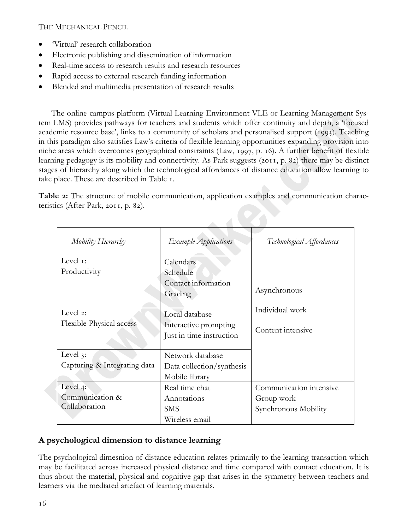- 'Virtual' research collaboration
- Electronic publishing and dissemination of information
- Real-time access to research results and research resources
- Rapid access to external research funding information
- Blended and multimedia presentation of research results

The online campus platform (Virtual Learning Environment VLE or Learning Management System LMS) provides pathways for teachers and students which offer continuity and depth, a 'focused academic resource base', links to a community of scholars and personalised support  $(1993)$ . Teaching in this paradigm also satisfies Law's criteria of flexible learning opportunities expanding provision into niche areas which overcomes geographical constraints (Law, 1997, p. 16). A further benefit of flexible learning pedagogy is its mobility and connectivity. As Park suggests  $(2011, p. 82)$  there may be distinct stages of hierarchy along which the technological affordances of distance education allow learning to take place. These are described in Table 1.

**Table :** The structure of mobile communication, application examples and communication characteristics (After Park,  $2011$ , p. 82).

| Mobility Hierarchy                               | <b>Example Applications</b>                                         | Technological Affordances                                     |
|--------------------------------------------------|---------------------------------------------------------------------|---------------------------------------------------------------|
| Level $\tau$ :<br>Productivity                   | Calendars<br>Schedule<br>Contact information<br>Grading             | Asynchronous                                                  |
| Level 2:<br>Flexible Physical access             | Local database<br>Interactive prompting<br>Just in time instruction | Individual work<br>Content intensive                          |
| Level $\alpha$ :<br>Capturing & Integrating data | Network database<br>Data collection/synthesis<br>Mobile library     |                                                               |
| Level $4$ :<br>Communication &<br>Collaboration  | Real time chat<br>Annotations<br>SMS<br>Wireless email              | Communication intensive<br>Group work<br>Synchronous Mobility |

# **A psychological dimension to distance learning**

The psychological dimesnion of distance education relates primarily to the learning transaction which may be facilitated across increased physical distance and time compared with contact education. It is thus about the material, physical and cognitive gap that arises in the symmetry between teachers and learners via the mediated artefact of learning materials.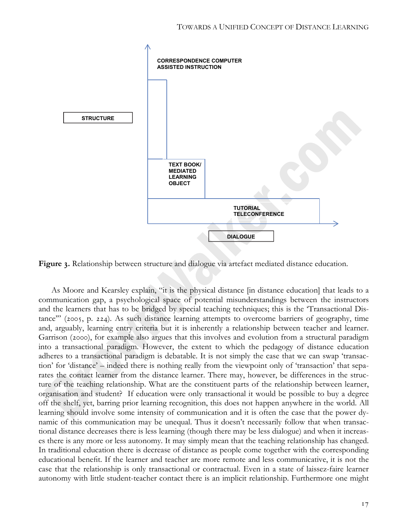

**Figure .** Relationship between structure and dialogue via artefact mediated distance education.

As Moore and Kearsley explain, "it is the physical distance [in distance education] that leads to a communication gap, a psychological space of potential misunderstandings between the instructors and the learners that has to be bridged by special teaching techniques; this is the 'Transactional Distance"  $(2005, p. 224)$ . As such distance learning attempts to overcome barriers of geography, time and, arguably, learning entry criteria but it is inherently a relationship between teacher and learner. Garrison (2000), for example also argues that this involves and evolution from a structural paradigm into a transactional paradigm. However, the extent to which the pedagogy of distance education adheres to a transactional paradigm is debatable. It is not simply the case that we can swap 'transaction' for 'distance' – indeed there is nothing really from the viewpoint only of 'transaction' that separates the contact learner from the distance learner. There may, however, be differences in the structure of the teaching relationship. What are the constituent parts of the relationship between learner, organisation and student? If education were only transactional it would be possible to buy a degree off the shelf, yet, barring prior learning recognition, this does not happen anywhere in the world. All learning should involve some intensity of communication and it is often the case that the power dynamic of this communication may be unequal. Thus it doesn't necessarily follow that when transactional distance decreases there is less learning (though there may be less dialogue) and when it increases there is any more or less autonomy. It may simply mean that the teaching relationship has changed. In traditional education there is decrease of distance as people come together with the corresponding educational benefit. If the learner and teacher are more remote and less communicative, it is not the case that the relationship is only transactional or contractual. Even in a state of laissez-faire learner autonomy with little student-teacher contact there is an implicit relationship. Furthermore one might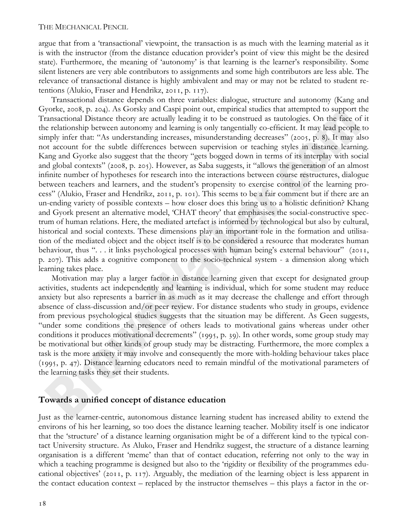argue that from a 'transactional' viewpoint, the transaction is as much with the learning material as it is with the instructor (from the distance education provider's point of view this might be the desired state). Furthermore, the meaning of 'autonomy' is that learning is the learner's responsibility. Some silent listeners are very able contributors to assignments and some high contributors are less able. The relevance of transactional distance is highly ambivalent and may or may not be related to student retentions (Alukio, Fraser and Hendrikz, 2011, p. 117).

Transactional distance depends on three variables: dialogue, structure and autonomy (Kang and Gyorke, 2008, p. 204). As Gorsky and Caspi point out, empirical studies that attempted to support the Transactional Distance theory are actually leading it to be construed as tautologies. On the face of it the relationship between autonomy and learning is only tangentially co-efficient. It may lead people to simply infer that: "As understanding increases, misunderstanding decreases" ( $2005$ , p. 8). It may also not account for the subtle differences between supervision or teaching styles in distance learning. Kang and Gyorke also suggest that the theory "gets bogged down in terms of its interplay with social and global contexts" ( $2008$ , p.  $205$ ). However, as Saba suggests, it "allows the generation of an almost infinite number of hypotheses for research into the interactions between course restructures, dialogue between teachers and learners, and the student's propensity to exercise control of the learning process" (Alukio, Fraser and Hendrikz, 2011, p. 101). This seems to be a fair comment but if there are an un-ending variety of possible contexts – how closer does this bring us to a holistic definition? Khang and Gyork present an alternative model, 'CHAT theory' that emphasises the social-constructive spectrum of human relations. Here, the mediated artefact is informed by technological but also by cultural, historical and social contexts. These dimensions play an important role in the formation and utilisation of the mediated object and the object itself is to be considered a resource that moderates human behaviour, thus " $\ldots$  it links psychological processes with human being's external behaviour" (2011, p. ). This adds a cognitive component to the socio-technical system - a dimension along which learning takes place.

Motivation may play a larger factor in distance learning given that except for designated group activities, students act independently and learning is individual, which for some student may reduce anxiety but also represents a barrier in as much as it may decrease the challenge and effort through absence of class-discussion and/or peer review. For distance students who study in groups, evidence from previous psychological studies suggests that the situation may be different. As Geen suggests, "under some conditions the presence of others leads to motivational gains whereas under other conditions it produces motivational decrements" (1995, p. 39). In other words, some group study may be motivational but other kinds of group study may be distracting. Furthermore, the more complex a task is the more anxiety it may involve and consequently the more with-holding behaviour takes place  $(1995, p. 47)$ . Distance learning educators need to remain mindful of the motivational parameters of the learning tasks they set their students.

#### **Towards a unified concept of distance education**

Just as the learner-centric, autonomous distance learning student has increased ability to extend the environs of his her learning, so too does the distance learning teacher. Mobility itself is one indicator that the 'structure' of a distance learning organisation might be of a different kind to the typical contact University structure. As Aluko, Fraser and Hendrikz suggest, the structure of a distance learning organisation is a different 'meme' than that of contact education, referring not only to the way in which a teaching programme is designed but also to the 'rigidity or flexibility of the programmes educational objectives'  $(2011, p. 117)$ . Arguably, the mediation of the learning object is less apparent in the contact education context – replaced by the instructor themselves – this plays a factor in the or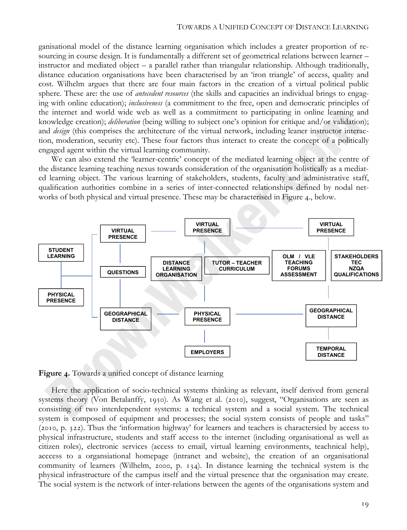ganisational model of the distance learning organisation which includes a greater proportion of resourcing in course design. It is fundamentally a different set of geometrical relations between learner – instructor and mediated object – a parallel rather than triangular relationship. Although traditionally, distance education organisations have been characterised by an 'iron triangle' of access, quality and cost. Wilhelm argues that there are four main factors in the creation of a virtual political public sphere. These are: the use of *antecedent resources* (the skills and capacities an individual brings to engaging with online education); *inclusiveness* (a commitment to the free, open and democratic principles of the internet and world wide web as well as a commitment to participating in online learning and knowledge creation); *deliberation* (being willing to subject one's opinion for critique and/or validation); and *design* (this comprises the architecture of the virtual network, including leaner instructor interaction, moderation, security etc). These four factors thus interact to create the concept of a politically engaged agent within the virtual learning community.

We can also extend the 'learner-centric' concept of the mediated learning object at the centre of the distance learning teaching nexus towards consideration of the organisation holistically as a mediated learning object. The various learning of stakeholders, students, faculty and administrative staff, qualification authorities combine in a series of inter-connected relationships defined by nodal networks of both physical and virtual presence. These may be characterised in Figure 4., below.



**Figure .** Towards a unified concept of distance learning

Here the application of socio-technical systems thinking as relevant, itself derived from general systems theory (Von Betalanffy,  $1950$ ). As Wang et al. (2010), suggest, "Organisations are seen as consisting of two interdependent systems: a technical system and a social system. The technical system is composed of equipment and processes; the social system consists of people and tasks"  $(2010, p. 322)$ . Thus the 'information highway' for learners and teachers is charactersied by access to physical infrastructure, students and staff access to the internet (including organisational as well as citizen roles), electronic services (access to email, virtual learning environments, teachnical help), acccess to a organsiational homepage (intranet and website), the creation of an organisational community of learners (Wilhelm, 2000, p.  $134$ ). In distance learning the technical system is the physical infrastructure of the campus itself and the virtual presence that the organisation may create. The social system is the network of inter-relations between the agents of the organisations system and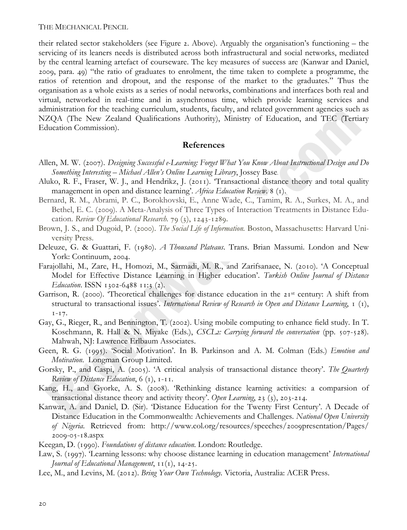their related sector stakeholders (see Figure 2. Above). Arguably the organisation's functioning – the servicing of its leaners needs is distributed across both infrastructural and social networks, mediated by the central learning artefact of courseware. The key measures of success are (Kanwar and Daniel,  $2009$ , para.  $49$ ) "the ratio of graduates to enrolment, the time taken to complete a programme, the ratios of retention and dropout, and the response of the market to the graduates." Thus the organisation as a whole exists as a series of nodal networks, combinations and interfaces both real and virtual, networked in real-time and in asynchronus time, which provide learning services and administration for the teaching curriculum, students, faculty, and related government agencies such as NZQA (The New Zealand Qualifications Authority), Ministry of Education, and TEC (Tertiary Education Commission).

### **References**

- Allen, M. W. (2007). *Designing Successful e-Learning: Forget What You Know About Instructional Design and Do Something Interesting – Michael Allen's Online Learning Library*, Jossey Base.
- Aluko, R. F., Fraser, W. J., and Hendrikz, J. (2011). Transactional distance theory and total quality management in open and distance learning'. *Africa Education Review*. 8 (1).
- Bernard, R. M., Abrami, P. C., Borokhovski, E., Anne Wade, C., Tamim, R. A., Surkes, M. A., and Bethel, E. C. (2009). A Meta-Analysis of Three Types of Interaction Treatments in Distance Education. *Review Of Educational Research.* 79 (3), 1243-1289.
- Brown, J. S., and Dugoid, P. (2000). The Social Life of Information. Boston, Massachusetts: Harvard University Press.
- Deleuze, G. & Guattari, F. (). *A Thousand Plateaus*. Trans. Brian Massumi. London and New York: Continuum, 2004.
- Farajollahi, M., Zare, H., Homozi, M., Sarmadi, M. R., and Zarifsanaee, N. (2010). 'A Conceptual Model for Effective Distance Learning in Higher education'. *Turkish Online Journal of Distance Education*. ISSN 1302-6488 11:3 (2).
- Garrison, R. (2000). 'Theoretical challenges for distance education in the 21<sup>st</sup> century: A shift from structural to transactional issues'. *International Review of Research in Open and Distance Learning*,  $\mathbf{r}$  ( $\mathbf{r}$ ),  $I-I7.$
- Gay, G., Rieger, R., and Bennington, T. (2002). Using mobile computing to enhance field study. In T. Koschmann, R. Hall & N. Miyake (Eds.), *CSCL2: Carrying forward the conversation* (pp. 507-528). Mahwah, NJ: Lawrence Erlbaum Associates.
- Geen, R. G. (1995). 'Social Motivation'. In B. Parkinson and A. M. Colman (Eds.) *Emotion and Motivation*. Longman Group Limited.
- Gorsky, P., and Caspi, A. (2005). 'A critical analysis of transactional distance theory'. The Quarterly *Review of Distance Education*,  $6(1)$ ,  $1-I$  I.
- Kang, H., and Gyorke, A. S. (2008). 'Rethinking distance learning activities: a comparsion of transactional distance theory and activity theory'. *Open Learning*, 23 (3), 203-214.
- Kanwar, A. and Daniel, D. (Sir). 'Distance Education for the Twenty First Century'. A Decade of Distance Education in the Commonwealth: Achievements and Challenges. *National Open University of Nigeria*. Retrieved from: http://www.col.org/resources/speeches/2009presentation/Pages/ 2009-05-18.aspx
- Keegan, D. (1990). *Foundations of distance education*. London: Routledge.
- Law, S. (1997). 'Learning lessons: why choose distance learning in education management' *International Journal of Educational Management*,  $\text{I} \text{I}(\text{I})$ ,  $\text{I}$  $\text{4-25}$ .
- Lee, M., and Levins, M. (2012). *Bring Your Own Technology*. Victoria, Australia: ACER Press.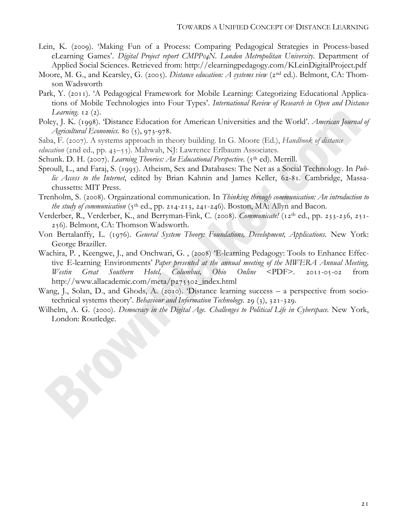- Lein, K. (2009). 'Making Fun of a Process: Comparing Pedagogical Strategies in Process-based eLearning Games'. *Digital Project report CMPPN. London Metropolitan University*. Department of Applied Social Sciences. Retrieved from: http://elearningpedagogy.com/KLeinDigitalProject.pdf
- Moore, M. G., and Kearsley, G. (2005). *Distance education: A systems view* (2<sup>nd</sup> ed.). Belmont, CA: Thomson Wadsworth
- Park, Y. (2011). 'A Pedagogical Framework for Mobile Learning: Categorizing Educational Applications of Mobile Technologies into Four Types'. *International Review of Research in Open and Distance Learning.* 12 (2).
- Poley, J. K. (1998). 'Distance Education for American Universities and the World'. *American Journal of Agricultural Economics.* 80 (5), 973-978.
- Saba, F. (2007). A systems approach in theory building. In G. Moore (Ed.), *Handbook of distance*
- *education* (2nd ed., pp. 43–55). Mahwah, NJ: Lawrence Erlbaum Associates.
- Schunk. D. H. (2007). *Learning Theories: An Educational Perspective*. (5<sup>th</sup> ed). Merrill.
- Sproull, L., and Faraj, S. (1995). Atheism, Sex and Databases: The Net as a Social Technology. In *Public Access to the Internet*, edited by Brian Kahnin and James Keller, 62-81. Cambridge, Massachussetts: MIT Press.
- Trenholm, S. (2008). Orgainzational communication. In *Thinking through communication: An introduction to the study of communication* (5<sup>th</sup> ed., pp. 214-213, 241-246). Boston, MA: Allyn and Bacon.
- Verderber, R., Verderber, K., and Berryman-Fink, C. (2008). *Communicate!* (12<sup>th</sup> ed., pp. 233-236, 251-). Belmont, CA: Thomson Wadsworth.
- Von Bertalanffy, L. (1976). *General System Theory: Foundations, Development, Applications*. New York: George Braziller.
- Wachira, P., Keengwe, J., and Onchwari, G., (2008) 'E-learning Pedagogy: Tools to Enhance Effective E-learning Environments' *Paper presented at the annual meeting of the MWERA Annual Meeting, Westin Great Southern Hotel, Columbus, Ohio Online* <PDF>. 2011-05-02 from http://www.allacademic.com/meta/p275502\_index.html
- Wang, J., Solan, D., and Ghods, A. (2010). 'Distance learning success a perspective from sociotechnical systems theory'. *Behaviour and Information Technology*. 29  $(3)$ ,  $321-329$ .
- Wilhelm, A. G. (). *Democracy in the Digital Age. Challenges to Political Life in Cyberspace.* New York, London: Routledge.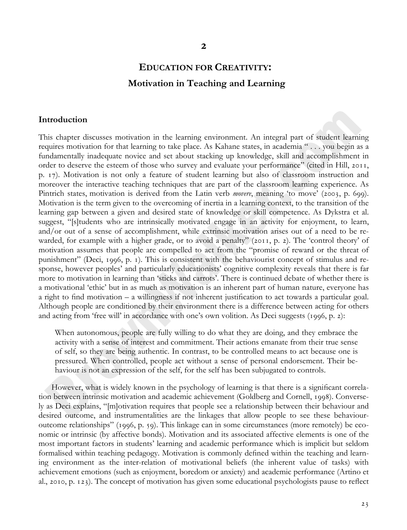# **EDUCATION FOR CREATIVITY: Motivation in Teaching and Learning**

## **Introduction**

This chapter discusses motivation in the learning environment. An integral part of student learning requires motivation for that learning to take place. As Kahane states, in academia " . . . you begin as a fundamentally inadequate novice and set about stacking up knowledge, skill and accomplishment in order to deserve the esteem of those who survey and evaluate your performance" (cited in Hill, 2011, p. 17). Motivation is not only a feature of student learning but also of classroom instruction and moreover the interactive teaching techniques that are part of the classroom learning experience. As Pintrich states, motivation is derived from the Latin verb *movere*, meaning 'to move' (2003, p. 699). Motivation is the term given to the overcoming of inertia in a learning context, to the transition of the learning gap between a given and desired state of knowledge or skill competence. As Dykstra et al. suggest, "[s]tudents who are intrinsically motivated engage in an activity for enjoyment, to learn, and/or out of a sense of accomplishment, while extrinsic motivation arises out of a need to be rewarded, for example with a higher grade, or to avoid a penalty" ( $2011$ ,  $p$ . 2). The 'control theory' of motivation assumes that people are compelled to act from the "promise of reward or the threat of punishment" (Deci, 1996, p. 1). This is consistent with the behaviourist concept of stimulus and response, however peoples' and particularly educationists' cognitive complexity reveals that there is far more to motivation in learning than 'sticks and carrots'. There is continued debate of whether there is a motivational 'ethic' but in as much as motivation is an inherent part of human nature, everyone has a right to find motivation – a willingness if not inherent justification to act towards a particular goal. Although people are conditioned by their environment there is a difference between acting for others and acting from 'free will' in accordance with one's own volition. As Deci suggests  $(\text{1996}, \text{p. 2})$ :

When autonomous, people are fully willing to do what they are doing, and they embrace the activity with a sense of interest and commitment. Their actions emanate from their true sense of self, so they are being authentic. In contrast, to be controlled means to act because one is pressured. When controlled, people act without a sense of personal endorsement. Their behaviour is not an expression of the self, for the self has been subjugated to controls.

However, what is widely known in the psychology of learning is that there is a significant correlation between intrinsic motivation and academic achievement (Goldberg and Cornell, 1998). Conversely as Deci explains, "[m]otivation requires that people see a relationship between their behaviour and desired outcome, and instrumentalities are the linkages that allow people to see these behaviouroutcome relationships"  $(1996, p. 59)$ . This linkage can in some circumstances (more remotely) be economic or intrinsic (by affective bonds). Motivation and its associated affective elements is one of the most important factors in students' learning and academic performance which is implicit but seldom formalised within teaching pedagogy. Motivation is commonly defined within the teaching and learning environment as the inter-relation of motivational beliefs (the inherent value of tasks) with achievement emotions (such as enjoyment, boredom or anxiety) and academic performance (Artino et al., 2010, p. 123). The concept of motivation has given some educational psychologists pause to reflect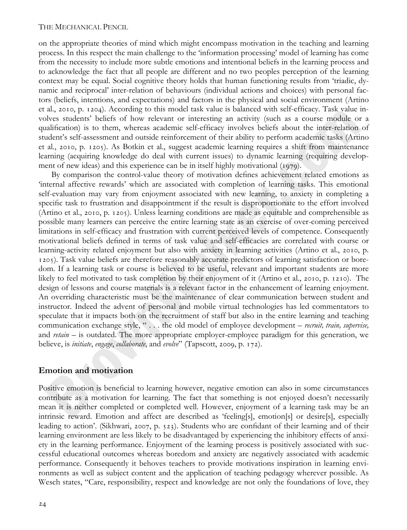on the appropriate theories of mind which might encompass motivation in the teaching and learning process. In this respect the main challenge to the 'information processing' model of learning has come from the necessity to include more subtle emotions and intentional beliefs in the learning process and to acknowledge the fact that all people are different and no two peoples perception of the learning context may be equal. Social cognitive theory holds that human functioning results from 'triadic, dynamic and reciprocal' inter-relation of behaviours (individual actions and choices) with personal factors (beliefs, intentions, and expectations) and factors in the physical and social environment (Artino et al., 2010, p. 1204). According to this model task value is balanced with self-efficacy. Task value involves students' beliefs of how relevant or interesting an activity (such as a course module or a qualification) is to them, whereas academic self-efficacy involves beliefs about the inter-relation of student's self-assessment and outside reinforcement of their ability to perform academic tasks (Artino et al., 2010, p. 1205). As Botkin et al., suggest academic learning requires a shift from maintenance learning (acquiring knowledge do deal with current issues) to dynamic learning (requiring development of new ideas) and this experience can be in itself highly motivational  $(1979)$ .

By comparison the control-value theory of motivation defines achievement related emotions as 'internal affective rewards' which are associated with completion of learning tasks. This emotional self-evaluation may vary from enjoyment associated with new learning, to anxiety in completing a specific task to frustration and disappointment if the result is disproportionate to the effort involved (Artino et al., 2010, p. 1205). Unless learning conditions are made as equitable and comprehensible as possible many learners can perceive the entire learning state as an exercise of over-coming perceived limitations in self-efficacy and frustration with current perceived levels of competence. Consequently motivational beliefs defined in terms of task value and self-efficacies are correlated with course or learning-activity related enjoyment but also with anxiety in learning activities (Artino et al., 2010, p. ). Task value beliefs are therefore reasonably accurate predictors of learning satisfaction or boredom. If a learning task or course is believed to be useful, relevant and important students are more likely to feel motivated to task completion by their enjoyment of it (Artino et al., 2010,  $p.$  1210). The design of lessons and course materials is a relevant factor in the enhancement of learning enjoyment. An overriding characteristic must be the maintenance of clear communication between student and instructor. Indeed the advent of personal and mobile virtual technologies has led commentators to speculate that it impacts both on the recruitment of staff but also in the entire learning and teaching communication exchange style, " . . . the old model of employee development – *recruit, train, supervise,* and *retain* – is outdated. The more appropriate employer-employee paradigm for this generation, we believe, is *initiate*, *engage*, *collaborate*, and *evolve*" (Tapscott, 2009, p. 172).

# **Emotion and motivation**

Positive emotion is beneficial to learning however, negative emotion can also in some circumstances contribute as a motivation for learning. The fact that something is not enjoyed doesn't necessarily mean it is neither completed or completed well. However, enjoyment of a learning task may be an intrinsic reward. Emotion and affect are described as 'feeling[s], emotion[s] or desire[s], especially leading to action'. (Sikhwari, 2007, p.  $\{2, 2\}$ ). Students who are confidant of their learning and of their learning environment are less likely to be disadvantaged by experiencing the inhibitory effects of anxiety in the learning performance. Enjoyment of the learning process is positively associated with successful educational outcomes whereas boredom and anxiety are negatively associated with academic performance. Consequently it behoves teachers to provide motivations inspiration in learning environments as well as subject content and the application of teaching pedagogy wherever possible. As Wesch states, "Care, responsibility, respect and knowledge are not only the foundations of love, they